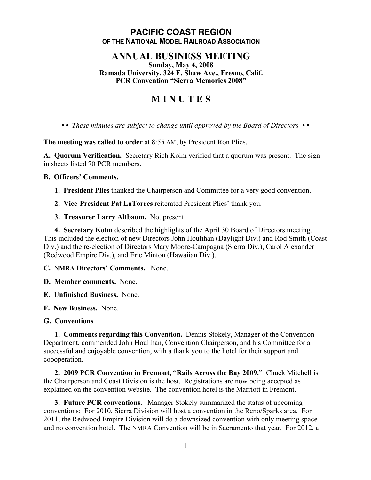# **PACIFIC COAST REGION OF THE NATIONAL MODEL RAILROAD ASSOCIATION**

## **ANNUAL BUSINESS MEETING**

**Sunday, May 4, 2008 Ramada University, 324 E. Shaw Ave., Fresno, Calif. PCR Convention "Sierra Memories 2008"**

# **M I N U T E S**

*• • These minutes are subject to change until approved by the Board of Directors • •*

**The meeting was called to order** at 8:55 AM, by President Ron Plies.

**A. Quorum Verification.** Secretary Rich Kolm verified that a quorum was present. The signin sheets listed 70 PCR members.

## **B. Officers' Comments.**

**1. President Plies** thanked the Chairperson and Committee for a very good convention.

**2. Vice-President Pat LaTorres** reiterated President Plies' thank you.

**3. Treasurer Larry Altbaum.** Not present.

**4. Secretary Kolm** described the highlights of the April 30 Board of Directors meeting. This included the election of new Directors John Houlihan (Daylight Div.) and Rod Smith (Coast Div.) and the re-election of Directors Mary Moore-Campagna (Sierra Div.), Carol Alexander (Redwood Empire Div.), and Eric Minton (Hawaiian Div.).

**C. NMRA Directors' Comments.** None.

**D. Member comments.** None.

**E. Unfinished Business.** None.

**F. New Business.** None.

**G. Conventions**

**1. Comments regarding this Convention.** Dennis Stokely, Manager of the Convention Department, commended John Houlihan, Convention Chairperson, and his Committee for a successful and enjoyable convention, with a thank you to the hotel for their support and coooperation.

**2. 2009 PCR Convention in Fremont, "Rails Across the Bay 2009."** Chuck Mitchell is the Chairperson and Coast Division is the host. Registrations are now being accepted as explained on the convention website. The convention hotel is the Marriott in Fremont.

**3. Future PCR conventions.** Manager Stokely summarized the status of upcoming conventions: For 2010, Sierra Division will host a convention in the Reno/Sparks area. For 2011, the Redwood Empire Division will do a downsized convention with only meeting space and no convention hotel. The NMRA Convention will be in Sacramento that year. For 2012, a